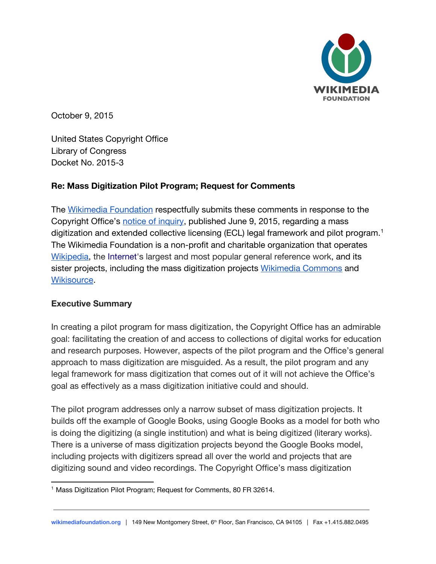

October 9, 2015

United States Copyright Office Library of Congress Docket No. 2015-3

#### **Re: Mass Digitization Pilot Program; Request for Comments**

The Wikimedia [Foundation](https://wikimediafoundation.org/) respectfully submits these comments in response to the Copyright Office's notice of [inquiry,](http://copyright.gov/fedreg/2015/80fr32614.pdf) published June 9, 2015, regarding a mass digitization and extended collective licensing (ECL) legal framework and pilot program. 1 The Wikimedia Foundation is a non-profit and charitable organization that operates [Wikipedia](https://www.wikipedia.org/), the [Internet](https://en.wikipedia.org/wiki/Internet)'s largest and most popular general reference work, and its sister projects, including the mass digitization projects Wikimedia [Commons](https://commons.wikimedia.org/wiki/Main_Page) and [Wikisource](https://en.wikisource.org/wiki/Main_Page).

#### **Executive Summary**

In creating a pilot program for mass digitization, the Copyright Office has an admirable goal: facilitating the creation of and access to collections of digital works for education and research purposes. However, aspects of the pilot program and the Office's general approach to mass digitization are misguided. As a result, the pilot program and any legal framework for mass digitization that comes out of it will not achieve the Office's goal as effectively as a mass digitization initiative could and should.

The pilot program addresses only a narrow subset of mass digitization projects. It builds off the example of Google Books, using Google Books as a model for both who is doing the digitizing (a single institution) and what is being digitized (literary works). There is a universe of mass digitization projects beyond the Google Books model, including projects with digitizers spread all over the world and projects that are digitizing sound and video recordings. The Copyright Office's mass digitization

<sup>&</sup>lt;sup>1</sup> Mass Digitization Pilot Program; Request for Comments, 80 FR 32614.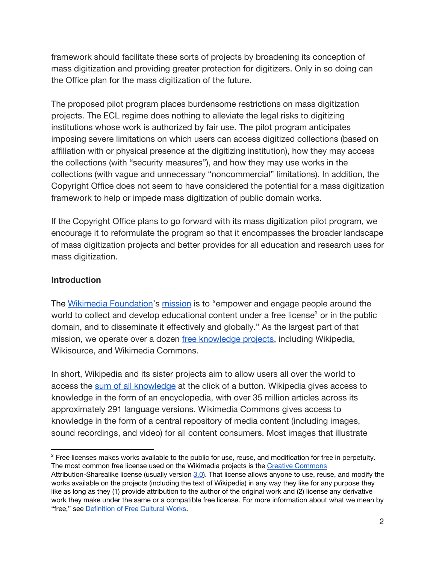framework should facilitate these sorts of projects by broadening its conception of mass digitization and providing greater protection for digitizers. Only in so doing can the Office plan for the mass digitization of the future.

The proposed pilot program places burdensome restrictions on mass digitization projects. The ECL regime does nothing to alleviate the legal risks to digitizing institutions whose work is authorized by fair use. The pilot program anticipates imposing severe limitations on which users can access digitized collections (based on affiliation with or physical presence at the digitizing institution), how they may access the collections (with "security measures"), and how they may use works in the collections (with vague and unnecessary "noncommercial" limitations). In addition, the Copyright Office does not seem to have considered the potential for a mass digitization framework to help or impede mass digitization of public domain works.

If the Copyright Office plans to go forward with its mass digitization pilot program, we encourage it to reformulate the program so that it encompasses the broader landscape of mass digitization projects and better provides for all education and research uses for mass digitization.

#### **Introduction**

The Wikimedia [Foundation'](https://wikimediafoundation.org/)s [mission](https://wikimediafoundation.org/wiki/Mission_statement) is to "empower and engage people around the world to collect and develop educational content under a free license<sup>2</sup> or in the public domain, and to disseminate it effectively and globally." As the largest part of that mission, we operate over a dozen free [knowledge](https://wikimediafoundation.org/wiki/Our_projects) projects, including Wikipedia, Wikisource, and Wikimedia Commons.

In short, Wikipedia and its sister projects aim to allow users all over the world to access the sum of all [knowledge](https://wikimediafoundation.org/wiki/Vision) at the click of a button. Wikipedia gives access to knowledge in the form of an encyclopedia, with over 35 million articles across its approximately 291 language versions. Wikimedia Commons gives access to knowledge in the form of a central repository of media content (including images, sound recordings, and video) for all content consumers. Most images that illustrate

<sup>&</sup>lt;sup>2</sup> Free licenses makes works available to the public for use, reuse, and modification for free in perpetuity. The most common free license used on the Wikimedia projects is the Creative [Commons](https://creativecommons.org/licenses/)

Attribution-Sharealike license (usually version [3.0\)](https://creativecommons.org/licenses/by-sa/3.0/deed.en). That license allows anyone to use, reuse, and modify the works available on the projects (including the text of Wikipedia) in any way they like for any purpose they like as long as they (1) provide attribution to the author of the original work and (2) license any derivative work they make under the same or a compatible free license. For more information about what we mean by "free," see [Definition](http://freedomdefined.org/) of Free Cultural Works.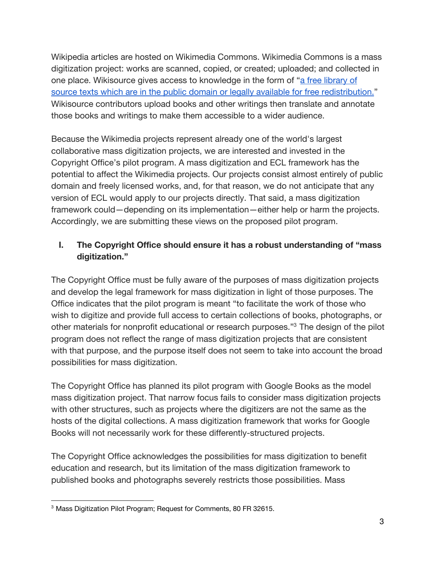Wikipedia articles are hosted on Wikimedia Commons. Wikimedia Commons is a mass digitization project: works are scanned, copied, or created; uploaded; and collected in one place. Wikisource gives access to knowledge in the form of "a free [library](https://en.wikisource.org/wiki/Wikisource:About) of source texts which are in the public domain or legally available for free [redistribution."](https://en.wikisource.org/wiki/Wikisource:About) Wikisource contributors upload books and other writings then translate and annotate those books and writings to make them accessible to a wider audience.

Because the Wikimedia projects represent already one of the world's largest collaborative mass digitization projects, we are interested and invested in the Copyright Office's pilot program. A mass digitization and ECL framework has the potential to affect the Wikimedia projects. Our projects consist almost entirely of public domain and freely licensed works, and, for that reason, we do not anticipate that any version of ECL would apply to our projects directly. That said, a mass digitization framework could—depending on its implementation—either help or harm the projects. Accordingly, we are submitting these views on the proposed pilot program.

# **I. The Copyright Office should ensure it has a robust understanding of "mass digitization."**

The Copyright Office must be fully aware of the purposes of mass digitization projects and develop the legal framework for mass digitization in light of those purposes. The Office indicates that the pilot program is meant "to facilitate the work of those who wish to digitize and provide full access to certain collections of books, photographs, or other materials for nonprofit educational or research purposes."<sup>3</sup> The design of the pilot program does not reflect the range of mass digitization projects that are consistent with that purpose, and the purpose itself does not seem to take into account the broad possibilities for mass digitization.

The Copyright Office has planned its pilot program with Google Books as the model mass digitization project. That narrow focus fails to consider mass digitization projects with other structures, such as projects where the digitizers are not the same as the hosts of the digital collections. A mass digitization framework that works for Google Books will not necessarily work for these differently-structured projects.

The Copyright Office acknowledges the possibilities for mass digitization to benefit education and research, but its limitation of the mass digitization framework to published books and photographs severely restricts those possibilities. Mass

<sup>&</sup>lt;sup>3</sup> Mass Digitization Pilot Program; Request for Comments, 80 FR 32615.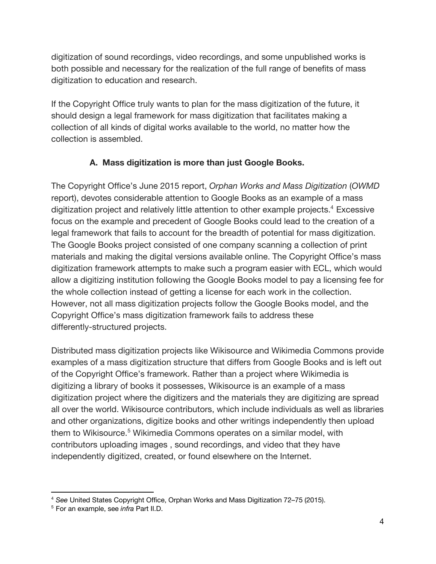digitization of sound recordings, video recordings, and some unpublished works is both possible and necessary for the realization of the full range of benefits of mass digitization to education and research.

If the Copyright Office truly wants to plan for the mass digitization of the future, it should design a legal framework for mass digitization that facilitates making a collection of all kinds of digital works available to the world, no matter how the collection is assembled.

## **A. Mass digitization is more than just Google Books.**

The Copyright Office's June 2015 report, *Orphan Works and Mass Digitization* (*OWMD* report), devotes considerable attention to Google Books as an example of a mass digitization project and relatively little attention to other example projects.<sup>4</sup> Excessive focus on the example and precedent of Google Books could lead to the creation of a legal framework that fails to account for the breadth of potential for mass digitization. The Google Books project consisted of one company scanning a collection of print materials and making the digital versions available online. The Copyright Office's mass digitization framework attempts to make such a program easier with ECL, which would allow a digitizing institution following the Google Books model to pay a licensing fee for the whole collection instead of getting a license for each work in the collection. However, not all mass digitization projects follow the Google Books model, and the Copyright Office's mass digitization framework fails to address these differently-structured projects.

Distributed mass digitization projects like Wikisource and Wikimedia Commons provide examples of a mass digitization structure that differs from Google Books and is left out of the Copyright Office's framework. Rather than a project where Wikimedia is digitizing a library of books it possesses, Wikisource is an example of a mass digitization project where the digitizers and the materials they are digitizing are spread all over the world. Wikisource contributors, which include individuals as well as libraries and other organizations, digitize books and other writings independently then upload them to Wikisource.<sup>5</sup> Wikimedia Commons operates on a similar model, with contributors uploading images , sound recordings, and video that they have independently digitized, created, or found elsewhere on the Internet.

<sup>4</sup> *See* United States Copyright Office, Orphan Works and Mass Digitization 72–75 (2015).

<sup>5</sup> For an example, see *infra* Part II.D.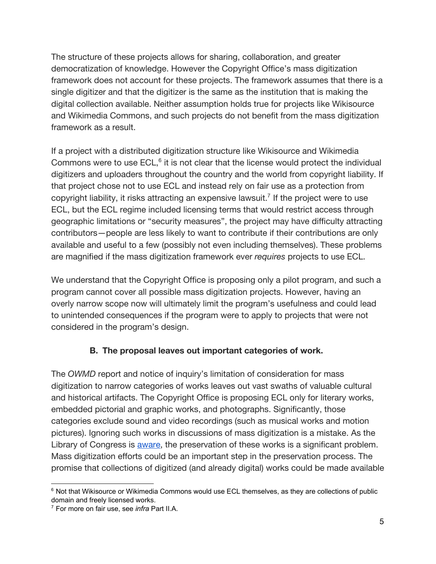The structure of these projects allows for sharing, collaboration, and greater democratization of knowledge. However the Copyright Office's mass digitization framework does not account for these projects. The framework assumes that there is a single digitizer and that the digitizer is the same as the institution that is making the digital collection available. Neither assumption holds true for projects like Wikisource and Wikimedia Commons, and such projects do not benefit from the mass digitization framework as a result.

If a project with a distributed digitization structure like Wikisource and Wikimedia Commons were to use  $ECL$ , $6$  it is not clear that the license would protect the individual digitizers and uploaders throughout the country and the world from copyright liability. If that project chose not to use ECL and instead rely on fair use as a protection from copyright liability, it risks attracting an expensive lawsuit.<sup>7</sup> If the project were to use ECL, but the ECL regime included licensing terms that would restrict access through geographic limitations or "security measures", the project may have difficulty attracting contributors—people are less likely to want to contribute if their contributions are only available and useful to a few (possibly not even including themselves). These problems are magnified if the mass digitization framework ever *requires* projects to use ECL.

We understand that the Copyright Office is proposing only a pilot program, and such a program cannot cover all possible mass digitization projects. However, having an overly narrow scope now will ultimately limit the program's usefulness and could lead to unintended consequences if the program were to apply to projects that were not considered in the program's design.

### **B. The proposal leaves out important categories of work.**

The *OWMD* report and notice of inquiry's limitation of consideration for mass digitization to narrow categories of works leaves out vast swaths of valuable cultural and historical artifacts. The Copyright Office is proposing ECL only for literary works, embedded pictorial and graphic works, and photographs. Significantly, those categories exclude sound and video recordings (such as musical works and motion pictures). Ignoring such works in discussions of mass digitization is a mistake. As the Library of Congress is [aware,](http://www.clir.org/pubs/reports/pub148/pub148.pdf) the preservation of these works is a significant problem. Mass digitization efforts could be an important step in the preservation process. The promise that collections of digitized (and already digital) works could be made available

<sup>&</sup>lt;sup>6</sup> Not that Wikisource or Wikimedia Commons would use ECL themselves, as they are collections of public domain and freely licensed works.

<sup>7</sup> For more on fair use, see *infra* Part II.A.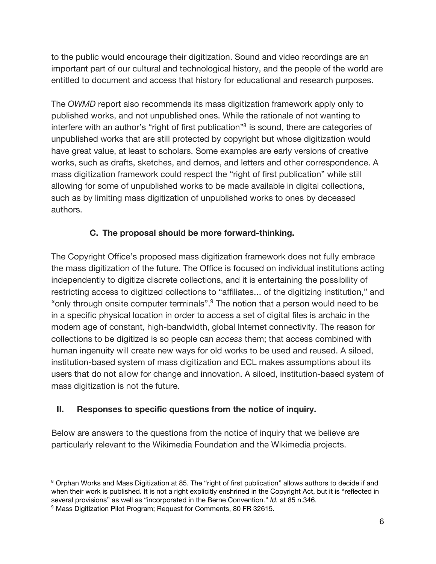to the public would encourage their digitization. Sound and video recordings are an important part of our cultural and technological history, and the people of the world are entitled to document and access that history for educational and research purposes.

The *OWMD* report also recommends its mass digitization framework apply only to published works, and not unpublished ones. While the rationale of not wanting to interfere with an author's "right of first publication"<sup>8</sup> is sound, there are categories of unpublished works that are still protected by copyright but whose digitization would have great value, at least to scholars. Some examples are early versions of creative works, such as drafts, sketches, and demos, and letters and other correspondence. A mass digitization framework could respect the "right of first publication" while still allowing for some of unpublished works to be made available in digital collections, such as by limiting mass digitization of unpublished works to ones by deceased authors.

## **C. The proposal should be more forward-thinking.**

The Copyright Office's proposed mass digitization framework does not fully embrace the mass digitization of the future. The Office is focused on individual institutions acting independently to digitize discrete collections, and it is entertaining the possibility of restricting access to digitized collections to "affiliates… of the digitizing institution," and "only through onsite computer terminals". $9$  The notion that a person would need to be in a specific physical location in order to access a set of digital files is archaic in the modern age of constant, high-bandwidth, global Internet connectivity. The reason for collections to be digitized is so people can *access* them; that access combined with human ingenuity will create new ways for old works to be used and reused. A siloed, institution-based system of mass digitization and ECL makes assumptions about its users that do not allow for change and innovation. A siloed, institution-based system of mass digitization is not the future.

### **II. Responses to specific questions from the notice of inquiry.**

Below are answers to the questions from the notice of inquiry that we believe are particularly relevant to the Wikimedia Foundation and the Wikimedia projects.

<sup>&</sup>lt;sup>8</sup> Orphan Works and Mass Digitization at 85. The "right of first publication" allows authors to decide if and when their work is published. It is not a right explicitly enshrined in the Copyright Act, but it is "reflected in several provisions" as well as "incorporated in the Berne Convention." *Id.* at 85 n.346.

<sup>&</sup>lt;sup>9</sup> Mass Digitization Pilot Program; Request for Comments, 80 FR 32615.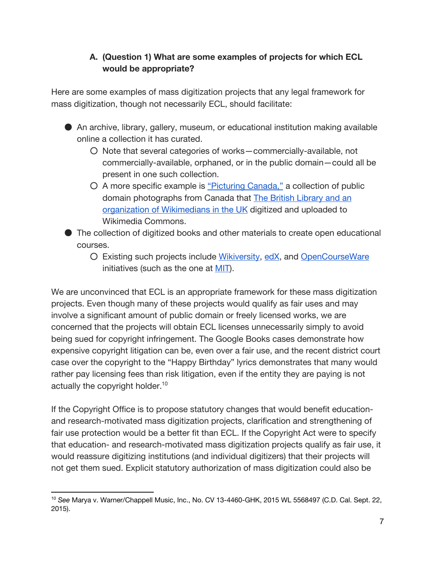## **A. (Question 1) What are some examples of projects for which ECL would be appropriate?**

Here are some examples of mass digitization projects that any legal framework for mass digitization, though not necessarily ECL, should facilitate:

- $\bullet$  An archive, library, gallery, museum, or educational institution making available online a collection it has curated.
	- Note that several categories of works—commercially-available, not commercially-available, orphaned, or in the public domain—could all be present in one such collection.
	- O A more specific example is ["Picturing](https://commons.wikimedia.org/wiki/Commons:British_Library/Picturing_Canada) Canada," a collection of public domain photographs from Canada that **The British [Library](https://blog.wikimedia.org/2013/07/01/picturing-canada/) and an** organization of [Wikimedians](https://blog.wikimedia.org/2013/07/01/picturing-canada/) in the UK digitized and uploaded to Wikimedia Commons.
- The collection of digitized books and other materials to create open educational courses.
	- O Existing such projects include [Wikiversity,](https://en.wikiversity.org/wiki/Wikiversity:Main_Page) [edX,](https://www.edx.org/) and [OpenCourseWare](https://en.wikipedia.org/wiki/OpenCourseWare) initiatives (such as the one at [MIT\)](http://ocw.mit.edu/index.htm).

We are unconvinced that ECL is an appropriate framework for these mass digitization projects. Even though many of these projects would qualify as fair uses and may involve a significant amount of public domain or freely licensed works, we are concerned that the projects will obtain ECL licenses unnecessarily simply to avoid being sued for copyright infringement. The Google Books cases demonstrate how expensive copyright litigation can be, even over a fair use, and the recent district court case over the copyright to the "Happy Birthday" lyrics demonstrates that many would rather pay licensing fees than risk litigation, even if the entity they are paying is not actually the copyright holder.<sup>10</sup>

If the Copyright Office is to propose statutory changes that would benefit educationand research-motivated mass digitization projects, clarification and strengthening of fair use protection would be a better fit than ECL. If the Copyright Act were to specify that education- and research-motivated mass digitization projects qualify as fair use, it would reassure digitizing institutions (and individual digitizers) that their projects will not get them sued. Explicit statutory authorization of mass digitization could also be

<sup>10</sup> *See* Marya v. Warner/Chappell Music, Inc., No. CV 13-4460-GHK, 2015 WL 5568497 (C.D. Cal. Sept. 22, 2015).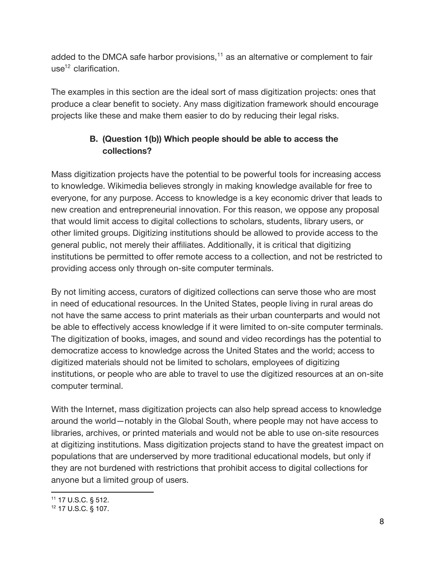added to the DMCA safe harbor provisions, $11$  as an alternative or complement to fair use<sup>12</sup> clarification.

The examples in this section are the ideal sort of mass digitization projects: ones that produce a clear benefit to society. Any mass digitization framework should encourage projects like these and make them easier to do by reducing their legal risks.

# **B. (Question 1(b)) Which people should be able to access the collections?**

Mass digitization projects have the potential to be powerful tools for increasing access to knowledge. Wikimedia believes strongly in making knowledge available for free to everyone, for any purpose. Access to knowledge is a key economic driver that leads to new creation and entrepreneurial innovation. For this reason, we oppose any proposal that would limit access to digital collections to scholars, students, library users, or other limited groups. Digitizing institutions should be allowed to provide access to the general public, not merely their affiliates. Additionally, it is critical that digitizing institutions be permitted to offer remote access to a collection, and not be restricted to providing access only through on-site computer terminals.

By not limiting access, curators of digitized collections can serve those who are most in need of educational resources. In the United States, people living in rural areas do not have the same access to print materials as their urban counterparts and would not be able to effectively access knowledge if it were limited to on-site computer terminals. The digitization of books, images, and sound and video recordings has the potential to democratize access to knowledge across the United States and the world; access to digitized materials should not be limited to scholars, employees of digitizing institutions, or people who are able to travel to use the digitized resources at an on-site computer terminal.

With the Internet, mass digitization projects can also help spread access to knowledge around the world—notably in the Global South, where people may not have access to libraries, archives, or printed materials and would not be able to use on-site resources at digitizing institutions. Mass digitization projects stand to have the greatest impact on populations that are underserved by more traditional educational models, but only if they are not burdened with restrictions that prohibit access to digital collections for anyone but a limited group of users.

<sup>11</sup> 17 [U.S.C.](https://www.law.cornell.edu/uscode/text/17/512) § 512.

<sup>12</sup> 17 [U.S.C.](https://www.law.cornell.edu/uscode/text/17/107) § 107.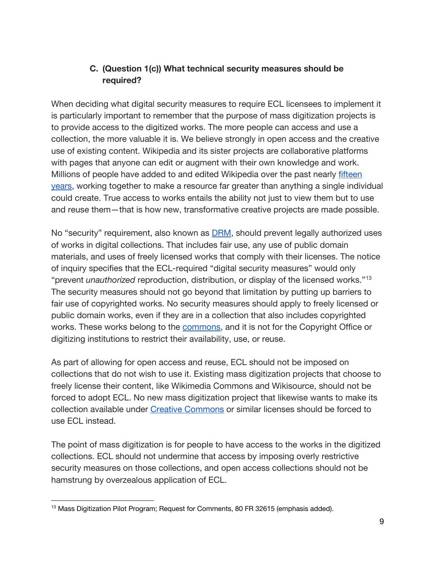## **C. (Question 1(c)) What technical security measures should be required?**

When deciding what digital security measures to require ECL licensees to implement it is particularly important to remember that the purpose of mass digitization projects is to provide access to the digitized works. The more people can access and use a collection, the more valuable it is. We believe strongly in open access and the creative use of existing content. Wikipedia and its sister projects are collaborative platforms with pages that anyone can edit or augment with their own knowledge and work. Millions of people have added to and edited Wikipedia over the past nearly [fifteen](https://meta.wikimedia.org/wiki/Wikipedia_15) [years,](https://meta.wikimedia.org/wiki/Wikipedia_15) working together to make a resource far greater than anything a single individual could create. True access to works entails the ability not just to view them but to use and reuse them—that is how new, transformative creative projects are made possible.

No "security" requirement, also known as **DRM**, should prevent legally authorized uses of works in digital collections. That includes fair use, any use of public domain materials, and uses of freely licensed works that comply with their licenses. The notice of inquiry specifies that the ECL-required "digital security measures" would only "prevent *unauthorized* reproduction, distribution, or display of the licensed works." 13 The security measures should not go beyond that limitation by putting up barriers to fair use of copyrighted works. No security measures should apply to freely licensed or public domain works, even if they are in a collection that also includes copyrighted works. These works belong to the **commons**, and it is not for the Copyright Office or digitizing institutions to restrict their availability, use, or reuse.

As part of allowing for open access and reuse, ECL should not be imposed on collections that do not wish to use it. Existing mass digitization projects that choose to freely license their content, like Wikimedia Commons and Wikisource, should not be forced to adopt ECL. No new mass digitization project that likewise wants to make its collection available under Creative [Commons](https://creativecommons.org/) or similar licenses should be forced to use ECL instead.

The point of mass digitization is for people to have access to the works in the digitized collections. ECL should not undermine that access by imposing overly restrictive security measures on those collections, and open access collections should not be hamstrung by overzealous application of ECL.

<sup>&</sup>lt;sup>13</sup> Mass Digitization Pilot Program; Request for Comments, 80 FR 32615 (emphasis added).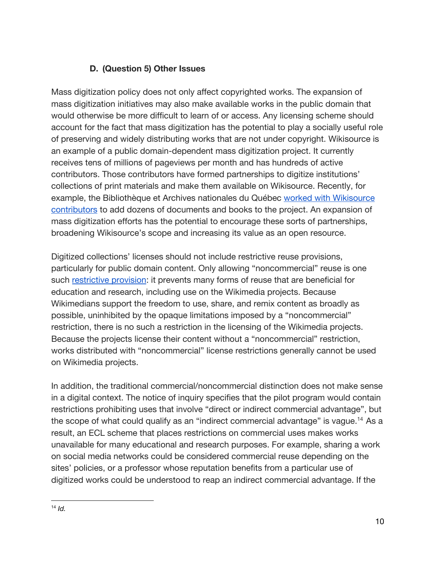# **D. (Question 5) Other Issues**

Mass digitization policy does not only affect copyrighted works. The expansion of mass digitization initiatives may also make available works in the public domain that would otherwise be more difficult to learn of or access. Any licensing scheme should account for the fact that mass digitization has the potential to play a socially useful role of preserving and widely distributing works that are not under copyright. Wikisource is an example of a public domain-dependent mass digitization project. It currently receives tens of millions of pageviews per month and has hundreds of active contributors. Those contributors have formed partnerships to digitize institutions' collections of print materials and make them available on Wikisource. Recently, for example, the Bibliothèque et Archives nationales du Québec worked with [Wikisource](https://fr.wikisource.org/wiki/Wikisource:BAnQ) [contributors](https://fr.wikisource.org/wiki/Wikisource:BAnQ) to add dozens of documents and books to the project. An expansion of mass digitization efforts has the potential to encourage these sorts of partnerships, broadening Wikisource's scope and increasing its value as an open resource.

Digitized collections' licenses should not include restrictive reuse provisions, particularly for public domain content. Only allowing "noncommercial" reuse is one such [restrictive](http://freedomdefined.org/Licenses/NC) provision: it prevents many forms of reuse that are beneficial for education and research, including use on the Wikimedia projects. Because Wikimedians support the freedom to use, share, and remix content as broadly as possible, uninhibited by the opaque limitations imposed by a "noncommercial" restriction, there is no such a restriction in the licensing of the Wikimedia projects. Because the projects license their content without a "noncommercial" restriction, works distributed with "noncommercial" license restrictions generally cannot be used on Wikimedia projects.

In addition, the traditional commercial/noncommercial distinction does not make sense in a digital context. The notice of inquiry specifies that the pilot program would contain restrictions prohibiting uses that involve "direct or indirect commercial advantage", but the scope of what could qualify as an "indirect commercial advantage" is vague.<sup>14</sup> As a result, an ECL scheme that places restrictions on commercial uses makes works unavailable for many educational and research purposes. For example, sharing a work on social media networks could be considered commercial reuse depending on the sites' policies, or a professor whose reputation benefits from a particular use of digitized works could be understood to reap an indirect commercial advantage. If the